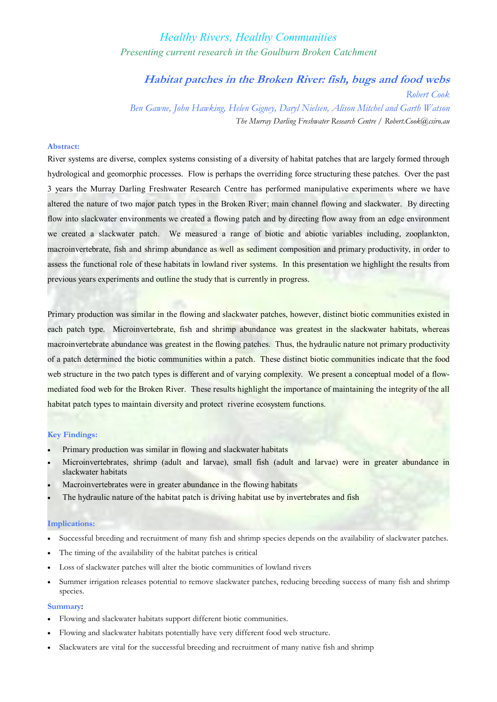# *Healthy Rivers, Healthy Communities Presenting current research in the Goulburn Broken Catchment*

**Habitat patches in the Broken River: fish, bugs and food webs**

*Robert Cook Ben Gawne, John Hawking, Helen Gigney, Daryl Nielsen, Alison Mitchel and Garth Watson The Murray Darling Freshwater Research Centre / Robert.Cook@csiro.au*

### **Abstract:**

River systems are diverse, complex systems consisting of a diversity of habitat patches that are largely formed through hydrological and geomorphic processes. Flow is perhaps the overriding force structuring these patches. Over the past 3 years the Murray Darling Freshwater Research Centre has performed manipulative experiments where we have altered the nature of two major patch types in the Broken River; main channel flowing and slackwater. By directing flow into slackwater environments we created a flowing patch and by directing flow away from an edge environment we created a slackwater patch. We measured a range of biotic and abiotic variables including, zooplankton, macroinvertebrate, fish and shrimp abundance as well as sediment composition and primary productivity, in order to assess the functional role of these habitats in lowland river systems. In this presentation we highlight the results from previous years experiments and outline the study that is currently in progress.

Primary production was similar in the flowing and slackwater patches, however, distinct biotic communities existed in each patch type. Microinvertebrate, fish and shrimp abundance was greatest in the slackwater habitats, whereas macroinvertebrate abundance was greatest in the flowing patches. Thus, the hydraulic nature not primary productivity of a patch determined the biotic communities within a patch. These distinct biotic communities indicate that the food web structure in the two patch types is different and of varying complexity. We present a conceptual model of a flowmediated food web for the Broken River. These results highlight the importance of maintaining the integrity of the all habitat patch types to maintain diversity and protect riverine ecosystem functions.

#### **Key Findings:**

- Primary production was similar in flowing and slackwater habitats
- · Microinvertebrates, shrimp (adult and larvae), small fish (adult and larvae) were in greater abundance in slackwater habitats
- Macroinvertebrates were in greater abundance in the flowing habitats
- The hydraulic nature of the habitat patch is driving habitat use by invertebrates and fish

#### **Implications:**

- · Successful breeding and recruitment of many fish and shrimp species depends on the availability of slackwater patches.
- The timing of the availability of the habitat patches is critical
- Loss of slackwater patches will alter the biotic communities of lowland rivers
- Summer irrigation releases potential to remove slackwater patches, reducing breeding success of many fish and shrimp species.

## **Summary:**

- · Flowing and slackwater habitats support different biotic communities.
- Flowing and slackwater habitats potentially have very different food web structure.
- Slackwaters are vital for the successful breeding and recruitment of many native fish and shrimp